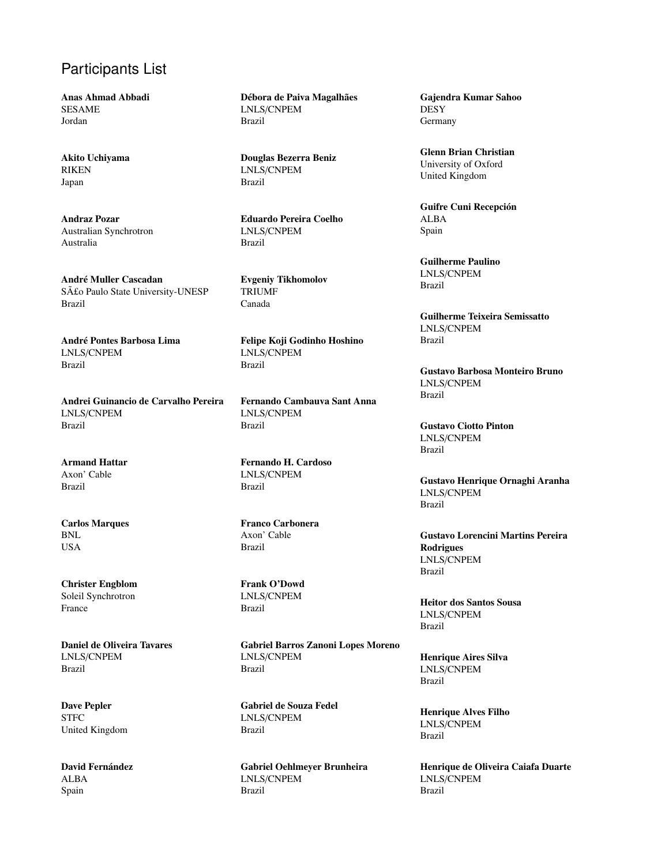## Participants List

Anas Ahmad Abbadi SESAME Jordan

Akito Uchiyama RIKEN Japan

Andraz Pozar Australian Synchrotron Australia

André Muller Cascadan São Paulo State University-UNESP Brazil

Andre Pontes Barbosa Lima ´ LNLS/CNPEM Brazil

Andrei Guinancio de Carvalho Pereira LNLS/CNPEM Brazil

Armand Hattar Axon' Cable Brazil

Carlos Marques BNL USA

Christer Engblom Soleil Synchrotron France

Daniel de Oliveira Tavares LNLS/CNPEM Brazil

Dave Pepler **STFC** United Kingdom

David Fernández ALBA Spain

Débora de Paiva Magalhães LNLS/CNPEM Brazil

Douglas Bezerra Beniz LNLS/CNPEM Brazil

Eduardo Pereira Coelho LNLS/CNPEM Brazil

Evgeniy Tikhomolov TRIUMF Canada

Felipe Koji Godinho Hoshino LNLS/CNPEM Brazil

Fernando Cambauva Sant Anna LNLS/CNPEM Brazil

Fernando H. Cardoso LNLS/CNPEM Brazil

Franco Carbonera Axon' Cable Brazil

Frank O'Dowd LNLS/CNPEM Brazil

Gabriel Barros Zanoni Lopes Moreno LNLS/CNPEM Brazil

Gabriel de Souza Fedel LNLS/CNPEM Brazil

Gabriel Oehlmeyer Brunheira LNLS/CNPEM Brazil

Gajendra Kumar Sahoo **DESY** Germany

Glenn Brian Christian University of Oxford United Kingdom

Guifre Cuni Recepción ALBA Spain

Guilherme Paulino LNLS/CNPEM Brazil

Guilherme Teixeira Semissatto LNLS/CNPEM Brazil

Gustavo Barbosa Monteiro Bruno LNLS/CNPEM Brazil

Gustavo Ciotto Pinton LNLS/CNPEM Brazil

Gustavo Henrique Ornaghi Aranha LNLS/CNPEM Brazil

Gustavo Lorencini Martins Pereira Rodrigues LNLS/CNPEM Brazil

Heitor dos Santos Sousa LNLS/CNPEM Brazil

Henrique Aires Silva LNLS/CNPEM Brazil

Henrique Alves Filho LNLS/CNPEM Brazil

Henrique de Oliveira Caiafa Duarte LNLS/CNPEM Brazil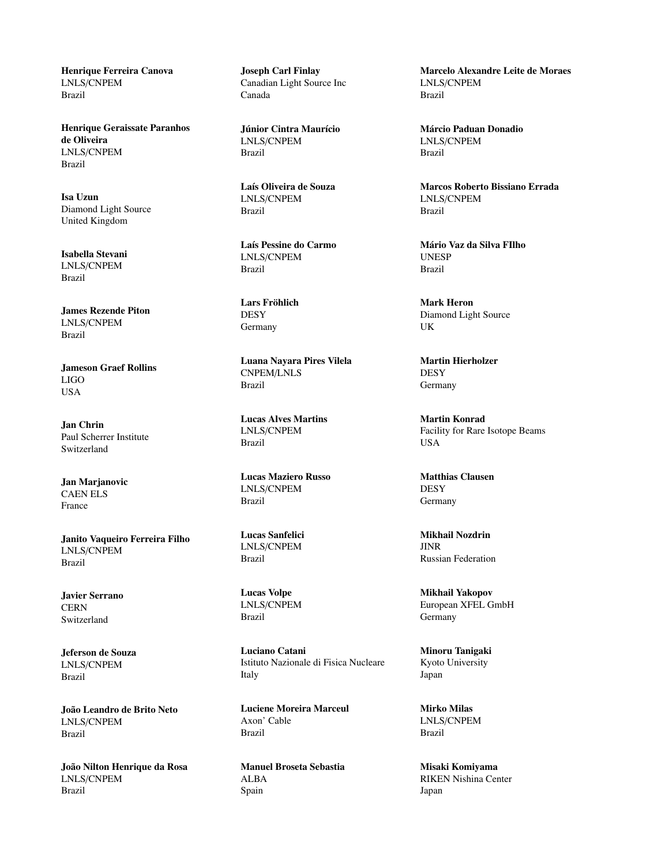Henrique Ferreira Canova LNLS/CNPEM Brazil

Henrique Geraissate Paranhos de Oliveira LNLS/CNPEM Brazil

Isa Uzun Diamond Light Source United Kingdom

Isabella Stevani LNLS/CNPEM Brazil

James Rezende Piton LNLS/CNPEM Brazil

Jameson Graef Rollins LIGO USA

Jan Chrin Paul Scherrer Institute Switzerland

Jan Marjanovic CAEN ELS France

Janito Vaqueiro Ferreira Filho LNLS/CNPEM Brazil

Javier Serrano **CERN** Switzerland

Jeferson de Souza LNLS/CNPEM Brazil

João Leandro de Brito Neto LNLS/CNPEM Brazil

João Nilton Henrique da Rosa LNLS/CNPEM Brazil

Joseph Carl Finlay Canadian Light Source Inc Canada

Júnior Cintra Maurício LNLS/CNPEM Brazil

Laís Oliveira de Souza LNLS/CNPEM Brazil

Laís Pessine do Carmo LNLS/CNPEM Brazil

Lars Fröhlich **DESY** Germany

Luana Nayara Pires Vilela CNPEM/LNLS Brazil

Lucas Alves Martins LNLS/CNPEM Brazil

Lucas Maziero Russo LNLS/CNPEM Brazil

Lucas Sanfelici LNLS/CNPEM Brazil

Lucas Volpe LNLS/CNPEM Brazil

Luciano Catani Istituto Nazionale di Fisica Nucleare Italy

Luciene Moreira Marceul Axon' Cable Brazil

Manuel Broseta Sebastia ALBA Spain

Marcelo Alexandre Leite de Moraes LNLS/CNPEM Brazil

Marcio Paduan Donadio ´ LNLS/CNPEM Brazil

Marcos Roberto Bissiano Errada LNLS/CNPEM Brazil

Mario Vaz da Silva FIlho ´ UNESP Brazil

Mark Heron Diamond Light Source UK

Martin Hierholzer **DESY** Germany

Martin Konrad Facility for Rare Isotope Beams USA

Matthias Clausen **DESY Germany** 

Mikhail Nozdrin JINR Russian Federation

Mikhail Yakopov European XFEL GmbH Germany

Minoru Tanigaki Kyoto University Japan

Mirko Milas LNLS/CNPEM Brazil

Misaki Komiyama RIKEN Nishina Center Japan